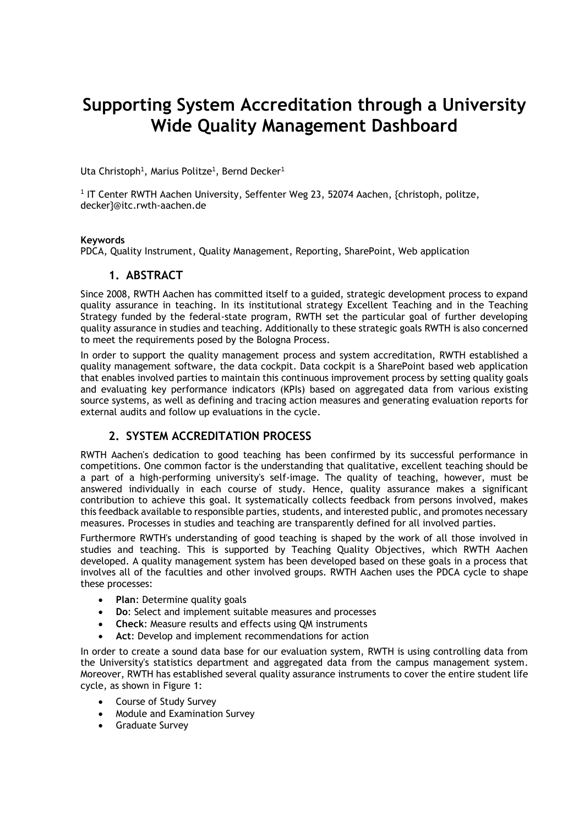# **Supporting System Accreditation through a University Wide Quality Management Dashboard**

Uta Christoph $^1$ , Marius Politze $^1$ , Bernd Decker $^1$ 

1 IT Center RWTH Aachen University, Seffenter Weg 23, 52074 Aachen, {christoph, politze, decker}@itc.rwth-aachen.de

#### **Keywords**

PDCA, Quality Instrument, Quality Management, Reporting, SharePoint, Web application

## **1. ABSTRACT**

Since 2008, RWTH Aachen has committed itself to a guided, strategic development process to expand quality assurance in teaching. In its institutional strategy Excellent Teaching and in the Teaching Strategy funded by the federal-state program, RWTH set the particular goal of further developing quality assurance in studies and teaching. Additionally to these strategic goals RWTH is also concerned to meet the requirements posed by the Bologna Process.

In order to support the quality management process and system accreditation, RWTH established a quality management software, the data cockpit. Data cockpit is a SharePoint based web application that enables involved parties to maintain this continuous improvement process by setting quality goals and evaluating key performance indicators (KPIs) based on aggregated data from various existing source systems, as well as defining and tracing action measures and generating evaluation reports for external audits and follow up evaluations in the cycle.

## **2. SYSTEM ACCREDITATION PROCESS**

RWTH Aachen's dedication to good teaching has been confirmed by its successful performance in competitions. One common factor is the understanding that qualitative, excellent teaching should be a part of a high-performing university's self-image. The quality of teaching, however, must be answered individually in each course of study. Hence, quality assurance makes a significant contribution to achieve this goal. It systematically collects feedback from persons involved, makes this feedback available to responsible parties, students, and interested public, and promotes necessary measures. Processes in studies and teaching are transparently defined for all involved parties.

Furthermore RWTH's understanding of good teaching is shaped by the work of all those involved in studies and teaching. This is supported by Teaching Quality Objectives, which RWTH Aachen developed. A quality management system has been developed based on these goals in a process that involves all of the faculties and other involved groups. RWTH Aachen uses the PDCA cycle to shape these processes:

- **Plan**: Determine quality goals
- **Do**: Select and implement suitable measures and processes
- **Check**: Measure results and effects using QM instruments
- **Act**: Develop and implement recommendations for action

In order to create a sound data base for our evaluation system, RWTH is using controlling data from the University's statistics department and aggregated data from the campus management system. Moreover, RWTH has established several quality assurance instruments to cover the entire student life cycle, as shown in [Figure 1:](#page-1-0)

- Course of Study Survey
- Module and Examination Survey
- **•** Graduate Survey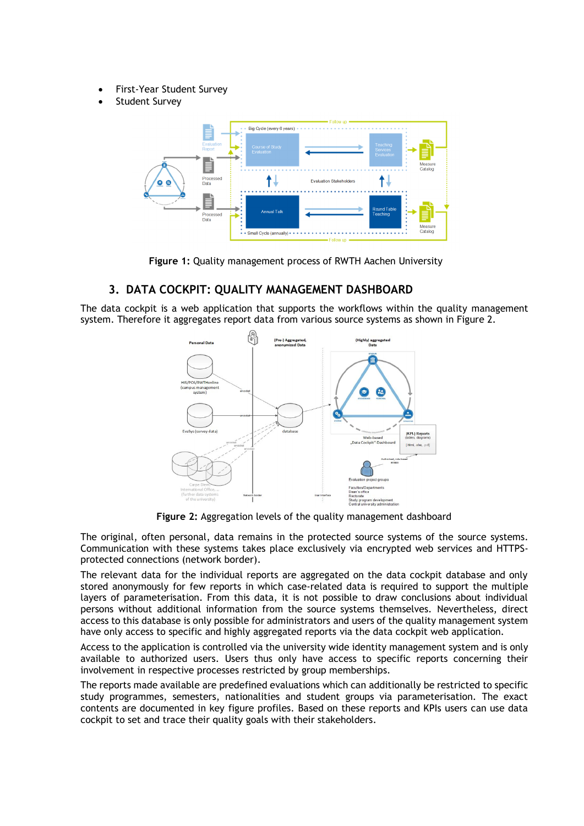- First-Year Student Survey
- Student Survey



**Figure 1:** Quality management process of RWTH Aachen University

## <span id="page-1-0"></span>**3. DATA COCKPIT: QUALITY MANAGEMENT DASHBOARD**

The data cockpit is a web application that supports the workflows within the quality management system. Therefore it aggregates report data from various source systems as shown in [Figure 2.](#page-1-1)



**Figure 2:** Aggregation levels of the quality management dashboard

<span id="page-1-1"></span>The original, often personal, data remains in the protected source systems of the source systems. Communication with these systems takes place exclusively via encrypted web services and HTTPSprotected connections (network border).

The relevant data for the individual reports are aggregated on the data cockpit database and only stored anonymously for few reports in which case-related data is required to support the multiple layers of parameterisation. From this data, it is not possible to draw conclusions about individual persons without additional information from the source systems themselves. Nevertheless, direct access to this database is only possible for administrators and users of the quality management system have only access to specific and highly aggregated reports via the data cockpit web application.

Access to the application is controlled via the university wide identity management system and is only available to authorized users. Users thus only have access to specific reports concerning their involvement in respective processes restricted by group memberships.

The reports made available are predefined evaluations which can additionally be restricted to specific study programmes, semesters, nationalities and student groups via parameterisation. The exact contents are documented in key figure profiles. Based on these reports and KPIs users can use data cockpit to set and trace their quality goals with their stakeholders.